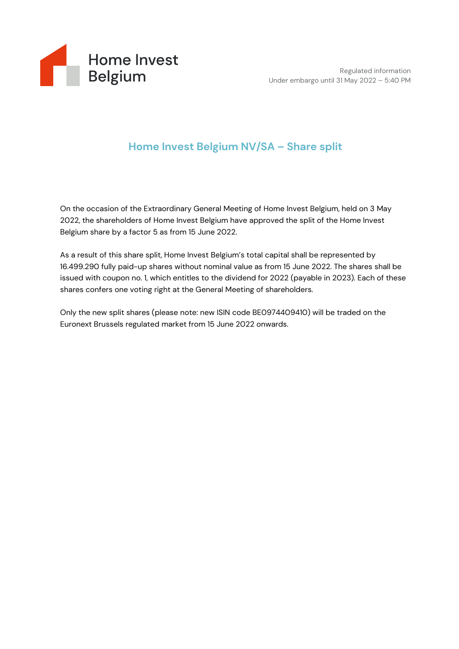

## **Home Invest Belgium NV/SA – Share split**

On the occasion of the Extraordinary General Meeting of Home Invest Belgium, held on 3 May 2022, the shareholders of Home Invest Belgium have approved the split of the Home Invest Belgium share by a factor 5 as from 15 June 2022.

As a result of this share split, Home Invest Belgium's total capital shall be represented by 16.499.290 fully paid-up shares without nominal value as from 15 June 2022. The shares shall be issued with coupon no. 1, which entitles to the dividend for 2022 (payable in 2023). Each of these shares confers one voting right at the General Meeting of shareholders.

Only the new split shares (please note: new ISIN code BE0974409410) will be traded on the Euronext Brussels regulated market from 15 June 2022 onwards.